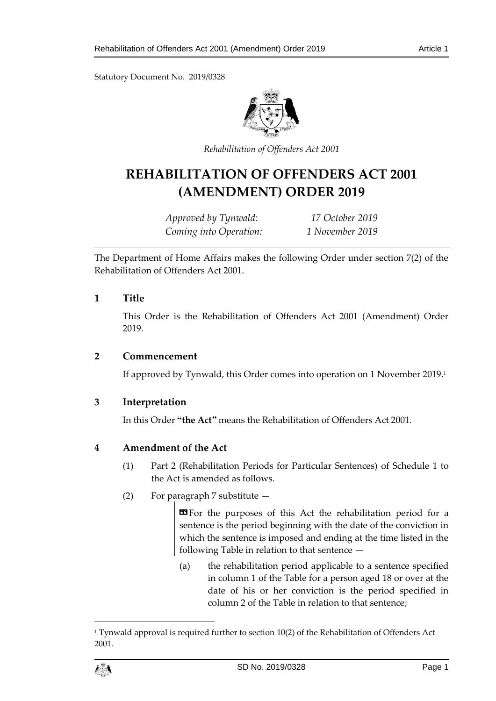Statutory Document No. 2019/0328



*Rehabilitation of Offenders Act 2001*

# **REHABILITATION OF OFFENDERS ACT 2001 (AMENDMENT) ORDER 2019**

*Approved by Tynwald: 17 October 2019 Coming into Operation: 1 November 2019*

The Department of Home Affairs makes the following Order under section 7(2) of the Rehabilitation of Offenders Act 2001.

### **1 Title**

This Order is the Rehabilitation of Offenders Act 2001 (Amendment) Order 2019.

#### **2 Commencement**

If approved by Tynwald, this Order comes into operation on 1 November 2019. 1

## **3 Interpretation**

In this Order **"the Act"** means the Rehabilitation of Offenders Act 2001.

## **4 Amendment of the Act**

- (1) Part 2 (Rehabilitation Periods for Particular Sentences) of Schedule 1 to the Act is amended as follows.
- (2) For paragraph 7 substitute —

**EF** or the purposes of this Act the rehabilitation period for a sentence is the period beginning with the date of the conviction in which the sentence is imposed and ending at the time listed in the following Table in relation to that sentence —

(a) the rehabilitation period applicable to a sentence specified in column 1 of the Table for a person aged 18 or over at the date of his or her conviction is the period specified in column 2 of the Table in relation to that sentence;

 $\overline{a}$ 

<sup>&</sup>lt;sup>1</sup> Tynwald approval is required further to section  $10(2)$  of the Rehabilitation of Offenders Act 2001.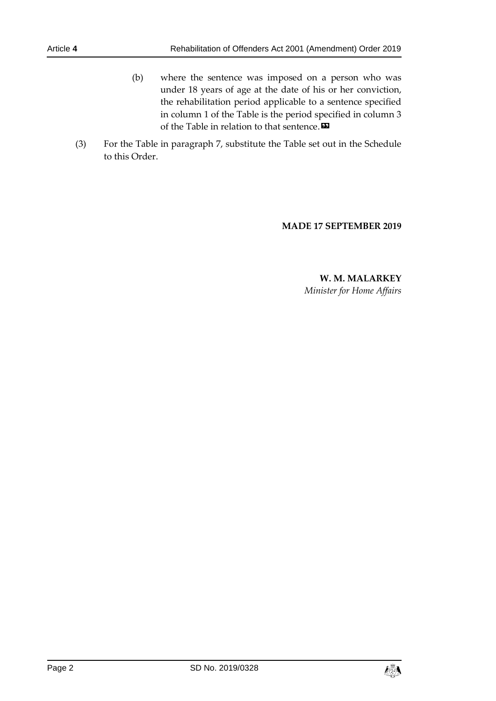- (b) where the sentence was imposed on a person who was under 18 years of age at the date of his or her conviction, the rehabilitation period applicable to a sentence specified in column 1 of the Table is the period specified in column 3 of the Table in relation to that sentence. $\boldsymbol{\mathsf{\Xi}}$
- (3) For the Table in paragraph 7, substitute the Table set out in the Schedule to this Order.

#### **MADE 17 SEPTEMBER 2019**

**W. M. MALARKEY** *Minister for Home Affairs*

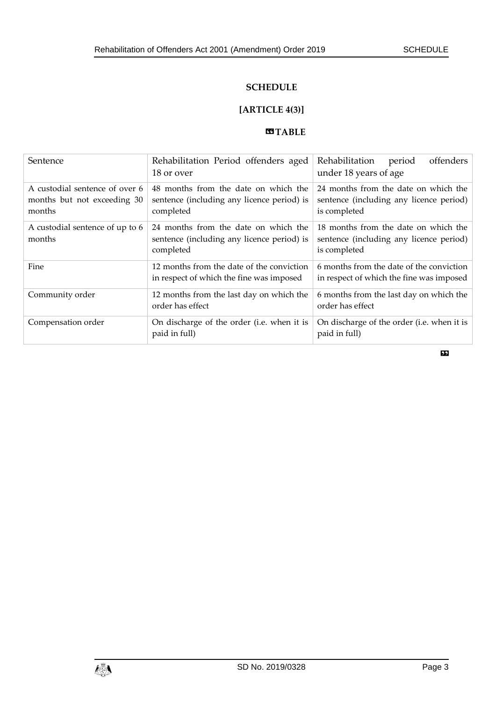### **SCHEDULE**

# **[ARTICLE 4(3)]**

#### **COTABLE**

| Sentence                                                                | Rehabilitation Period offenders aged<br>18 or over                                              | offenders<br>Rehabilitation<br>period<br>under 18 years of age                                  |
|-------------------------------------------------------------------------|-------------------------------------------------------------------------------------------------|-------------------------------------------------------------------------------------------------|
| A custodial sentence of over 6<br>months but not exceeding 30<br>months | 48 months from the date on which the<br>sentence (including any licence period) is<br>completed | 24 months from the date on which the<br>sentence (including any licence period)<br>is completed |
| A custodial sentence of up to 6<br>months                               | 24 months from the date on which the<br>sentence (including any licence period) is<br>completed | 18 months from the date on which the<br>sentence (including any licence period)<br>is completed |
| Fine                                                                    | 12 months from the date of the conviction<br>in respect of which the fine was imposed           | 6 months from the date of the conviction<br>in respect of which the fine was imposed            |
| Community order                                                         | 12 months from the last day on which the<br>order has effect                                    | 6 months from the last day on which the<br>order has effect                                     |
| Compensation order                                                      | On discharge of the order (i.e. when it is<br>paid in full)                                     | On discharge of the order (i.e. when it is<br>paid in full)                                     |

»